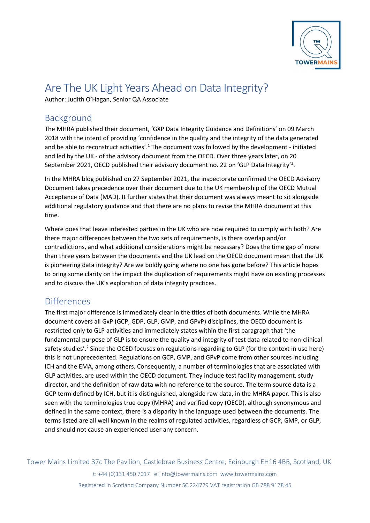

# Are The UK Light Years Ahead on Data Integrity?

Author: Judith O'Hagan, Senior QA Associate

# Background

The MHRA published their document, 'GXP Data Integrity Guidance and Definitions' on 09 March 2018 with the intent of providing 'confidence in the quality and the integrity of the data generated and be able to reconstruct activities'.<sup>1</sup> The document was followed by the development - initiated and led by the UK - of the advisory document from the OECD. Over three years later, on 20 September 2021, OECD published their advisory document no. 22 on 'GLP Data Integrity'<sup>2</sup>.

In the MHRA blog published on 27 September 2021, the inspectorate confirmed the OECD Advisory Document takes precedence over their document due to the UK membership of the OECD Mutual Acceptance of Data (MAD). It further states that their document was always meant to sit alongside additional regulatory guidance and that there are no plans to revise the MHRA document at this time.

Where does that leave interested parties in the UK who are now required to comply with both? Are there major differences between the two sets of requirements, is there overlap and/or contradictions, and what additional considerations might be necessary? Does the time gap of more than three years between the documents and the UK lead on the OECD document mean that the UK is pioneering data integrity? Are we boldly going where no one has gone before? This article hopes to bring some clarity on the impact the duplication of requirements might have on existing processes and to discuss the UK's exploration of data integrity practices.

#### **Differences**

The first major difference is immediately clear in the titles of both documents. While the MHRA document covers all GxP (GCP, GDP, GLP, GMP, and GPvP) disciplines, the OECD document is restricted only to GLP activities and immediately states within the first paragraph that 'the fundamental purpose of GLP is to ensure the quality and integrity of test data related to non-clinical safety studies'.<sup>2</sup> Since the OCED focuses on regulations regarding to GLP (for the context in use here) this is not unprecedented. Regulations on GCP, GMP, and GPvP come from other sources including ICH and the EMA, among others. Consequently, a number of terminologies that are associated with GLP activities, are used within the OECD document. They include test facility management, study director, and the definition of raw data with no reference to the source. The term source data is a GCP term defined by ICH, but it is distinguished, alongside raw data, in the MHRA paper. This is also seen with the terminologies true copy (MHRA) and verified copy (OECD), although synonymous and defined in the same context, there is a disparity in the language used between the documents. The terms listed are all well known in the realms of regulated activities, regardless of GCP, GMP, or GLP, and should not cause an experienced user any concern.

Tower Mains Limited 37c The Pavilion, Castlebrae Business Centre, Edinburgh EH16 4BB, Scotland, UK

t: +44 (0)131 450 7017 e: info@towermains.com www.towermains.com Registered in Scotland Company Number SC 224729 VAT registration GB 788 9178 45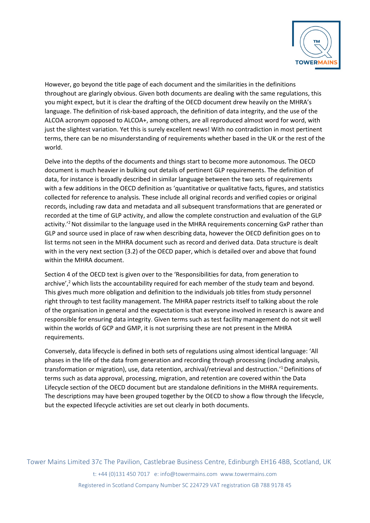

However, go beyond the title page of each document and the similarities in the definitions throughout are glaringly obvious. Given both documents are dealing with the same regulations, this you might expect, but it is clear the drafting of the OECD document drew heavily on the MHRA's language. The definition of risk-based approach, the definition of data integrity, and the use of the ALCOA acronym opposed to ALCOA+, among others, are all reproduced almost word for word, with just the slightest variation. Yet this is surely excellent news! With no contradiction in most pertinent terms, there can be no misunderstanding of requirements whether based in the UK or the rest of the world.

Delve into the depths of the documents and things start to become more autonomous. The OECD document is much heavier in bulking out details of pertinent GLP requirements. The definition of data, for instance is broadly described in similar language between the two sets of requirements with a few additions in the OECD definition as 'quantitative or qualitative facts, figures, and statistics collected for reference to analysis. These include all original records and verified copies or original records, including raw data and metadata and all subsequent transformations that are generated or recorded at the time of GLP activity, and allow the complete construction and evaluation of the GLP activity.<sup>'2</sup> Not dissimilar to the language used in the MHRA requirements concerning GxP rather than GLP and source used in place of raw when describing data, however the OECD definition goes on to list terms not seen in the MHRA document such as record and derived data. Data structure is dealt with in the very next section (3.2) of the OECD paper, which is detailed over and above that found within the MHRA document.

Section 4 of the OECD text is given over to the 'Responsibilities for data, from generation to archive', $2$  which lists the accountability required for each member of the study team and beyond. This gives much more obligation and definition to the individuals job titles from study personnel right through to test facility management. The MHRA paper restricts itself to talking about the role of the organisation in general and the expectation is that everyone involved in research is aware and responsible for ensuring data integrity. Given terms such as test facility management do not sit well within the worlds of GCP and GMP, it is not surprising these are not present in the MHRA requirements.

Conversely, data lifecycle is defined in both sets of regulations using almost identical language: 'All phases in the life of the data from generation and recording through processing (including analysis, transformation or migration), use, data retention, archival/retrieval and destruction.' 1Definitions of terms such as data approval, processing, migration, and retention are covered within the Data Lifecycle section of the OECD document but are standalone definitions in the MHRA requirements. The descriptions may have been grouped together by the OECD to show a flow through the lifecycle, but the expected lifecycle activities are set out clearly in both documents.

Tower Mains Limited 37c The Pavilion, Castlebrae Business Centre, Edinburgh EH16 4BB, Scotland, UK t: +44 (0)131 450 7017 e: info@towermains.com www.towermains.com Registered in Scotland Company Number SC 224729 VAT registration GB 788 9178 45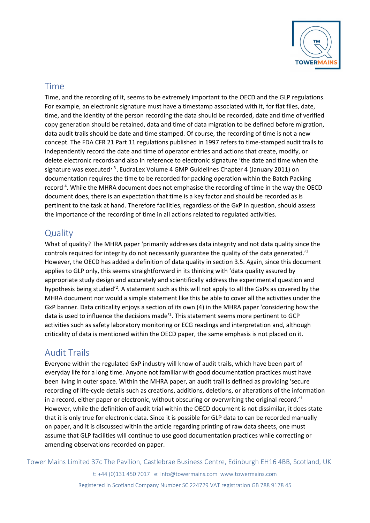

#### Time

Time, and the recording of it, seems to be extremely important to the OECD and the GLP regulations. For example, an electronic signature must have a timestamp associated with it, for flat files, date, time, and the identity of the person recording the data should be recorded, date and time of verified copy generation should be retained, data and time of data migration to be defined before migration, data audit trails should be date and time stamped. Of course, the recording of time is not a new concept. The FDA CFR 21 Part 11 regulations published in 1997 refers to time-stamped audit trails to independently record the date and time of operator entries and actions that create, modify, or delete electronic records and also in reference to electronic signature 'the date and time when the signature was executed<sup>, 3</sup>. EudraLex Volume 4 GMP Guidelines Chapter 4 (January 2011) on documentation requires the time to be recorded for packing operation within the Batch Packing record<sup>4</sup>. While the MHRA document does not emphasise the recording of time in the way the OECD document does, there is an expectation that time is a key factor and should be recorded as is pertinent to the task at hand. Therefore facilities, regardless of the GxP in question, should assess the importance of the recording of time in all actions related to regulated activities.

## **Quality**

What of quality? The MHRA paper 'primarily addresses data integrity and not data quality since the controls required for integrity do not necessarily guarantee the quality of the data generated.'1 However, the OECD has added a definition of data quality in section 3.5. Again, since this document applies to GLP only, this seems straightforward in its thinking with 'data quality assured by appropriate study design and accurately and scientifically address the experimental question and hypothesis being studied<sup>'2</sup>. A statement such as this will not apply to all the GxPs as covered by the MHRA document nor would a simple statement like this be able to cover all the activities under the GxP banner. Data criticality enjoys a section of its own (4) in the MHRA paper 'considering how the data is used to influence the decisions made<sup>'1</sup>. This statement seems more pertinent to GCP activities such as safety laboratory monitoring or ECG readings and interpretation and, although criticality of data is mentioned within the OECD paper, the same emphasis is not placed on it.

## Audit Trails

Everyone within the regulated GxP industry will know of audit trails, which have been part of everyday life for a long time. Anyone not familiar with good documentation practices must have been living in outer space. Within the MHRA paper, an audit trail is defined as providing 'secure recording of life-cycle details such as creations, additions, deletions, or alterations of the information in a record, either paper or electronic, without obscuring or overwriting the original record.<sup>11</sup> However, while the definition of audit trial within the OECD document is not dissimilar, it does state that it is only true for electronic data. Since it is possible for GLP data to can be recorded manually on paper, and it is discussed within the article regarding printing of raw data sheets, one must assume that GLP facilities will continue to use good documentation practices while correcting or amending observations recorded on paper.

Tower Mains Limited 37c The Pavilion, Castlebrae Business Centre, Edinburgh EH16 4BB, Scotland, UK

t: +44 (0)131 450 7017 e: info@towermains.com www.towermains.com Registered in Scotland Company Number SC 224729 VAT registration GB 788 9178 45